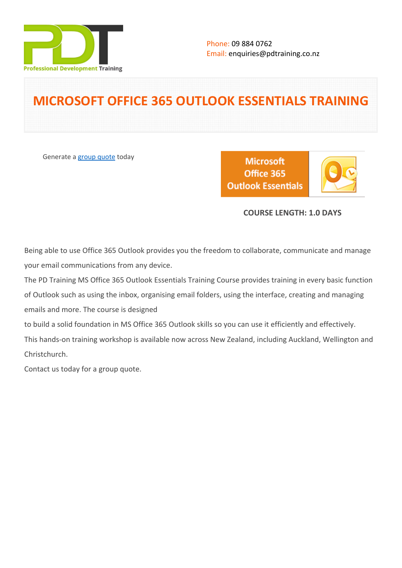

# **MICROSOFT OFFICE 365 OUTLOOK ESSENTIALS TRAINING**

Generate a [group quote](https://pdtraining.co.nz/inhouse-training-quote?cse=AOFF365OUT) today

**Microsoft** Office 365 **Outlook Essentials** 



## **COURSE LENGTH: 1.0 DAYS**

Being able to use Office 365 Outlook provides you the freedom to collaborate, communicate and manage your email communications from any device.

The PD Training MS Office 365 Outlook Essentials Training Course provides training in every basic function of Outlook such as using the inbox, organising email folders, using the interface, creating and managing emails and more. The course is designed to build a solid foundation in MS Office 365 Outlook skills so you can use it efficiently and effectively. This hands-on training workshop is available now across New Zealand, including Auckland, Wellington and Christchurch.

Contact us today for a [group quote.](https://pdtraining.co.nz/bookings/inhouseex1/quoterequestex1a.aspx)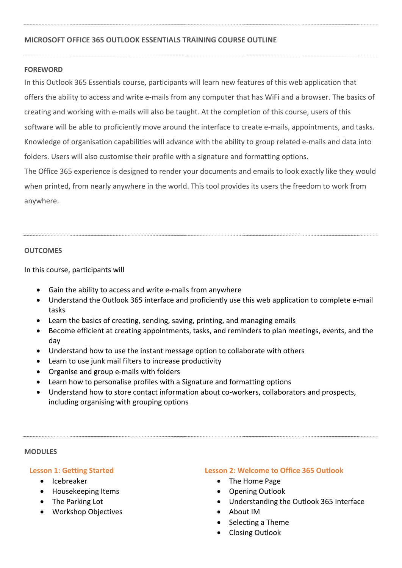## **MICROSOFT OFFICE 365 OUTLOOK ESSENTIALS TRAINING COURSE OUTLINE**

## **FOREWORD**

In this Outlook 365 Essentials course, participants will learn new features of this web application that offers the ability to access and write e-mails from any computer that has WiFi and a browser. The basics of creating and working with e-mails will also be taught. At the completion of this course, users of this software will be able to proficiently move around the interface to create e-mails, appointments, and tasks. Knowledge of organisation capabilities will advance with the ability to group related e-mails and data into folders. Users will also customise their profile with a signature and formatting options. The Office 365 experience is designed to render your documents and emails to look exactly like they would when printed, from nearly anywhere in the world. This tool provides its users the freedom to work from anywhere.

## **OUTCOMES**

In this course, participants will

- Gain the ability to access and write e-mails from anywhere
- Understand the Outlook 365 interface and proficiently use this web application to complete e-mail tasks
- Learn the basics of creating, sending, saving, printing, and managing emails
- Become efficient at creating appointments, tasks, and reminders to plan meetings, events, and the day
- Understand how to use the instant message option to collaborate with others
- Learn to use junk mail filters to increase productivity
- Organise and group e-mails with folders
- Learn how to personalise profiles with a Signature and formatting options
- Understand how to store contact information about co-workers, collaborators and prospects, including organising with grouping options

#### **MODULES**

## **Lesson 1: Getting Started**

- Icebreaker
- Housekeeping Items
- The Parking Lot
- Workshop Objectives

## **Lesson 2: Welcome to Office 365 Outlook**

- The Home Page
- Opening Outlook
- Understanding the Outlook 365 Interface
- About IM
- Selecting a Theme
- Closing Outlook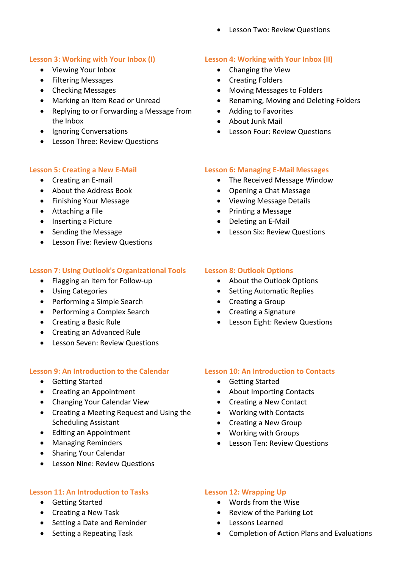Lesson Two: Review Questions

## **Lesson 3: Working with Your Inbox (I)**

- Viewing Your Inbox
- Filtering Messages
- Checking Messages
- Marking an Item Read or Unread
- Replying to or Forwarding a Message from the Inbox
- Ignoring Conversations
- Lesson Three: Review Questions

## **Lesson 5: Creating a New E-Mail**

- Creating an E-mail
- About the Address Book
- Finishing Your Message
- Attaching a File
- Inserting a Picture
- Sending the Message
- **•** Lesson Five: Review Questions

## **Lesson 7: Using Outlook's Organizational Tools**

- Flagging an Item for Follow-up
- Using Categories
- Performing a Simple Search
- Performing a Complex Search
- Creating a Basic Rule
- Creating an Advanced Rule
- Lesson Seven: Review Questions

#### **Lesson 9: An Introduction to the Calendar**

- Getting Started
- Creating an Appointment
- Changing Your Calendar View
- Creating a Meeting Request and Using the Scheduling Assistant
- Editing an Appointment
- Managing Reminders
- Sharing Your Calendar
- Lesson Nine: Review Questions

#### **Lesson 11: An Introduction to Tasks**

- Getting Started
- Creating a New Task
- Setting a Date and Reminder
- Setting a Repeating Task

## **Lesson 4: Working with Your Inbox (II)**

- Changing the View
- Creating Folders
- Moving Messages to Folders
- Renaming, Moving and Deleting Folders
- Adding to Favorites
- About Junk Mail
- Lesson Four: Review Questions

## **Lesson 6: Managing E-Mail Messages**

- The Received Message Window
- Opening a Chat Message
- Viewing Message Details
- Printing a Message
- Deleting an E-Mail
- Lesson Six: Review Questions

## **Lesson 8: Outlook Options**

- About the Outlook Options
- Setting Automatic Replies
- Creating a Group
- Creating a Signature
- Lesson Eight: Review Questions

#### **Lesson 10: An Introduction to Contacts**

- Getting Started
- About Importing Contacts
- Creating a New Contact
- Working with Contacts
- Creating a New Group
- Working with Groups
- Lesson Ten: Review Questions

#### **Lesson 12: Wrapping Up**

- Words from the Wise
- Review of the Parking Lot
- Lessons Learned
- Completion of Action Plans and Evaluations